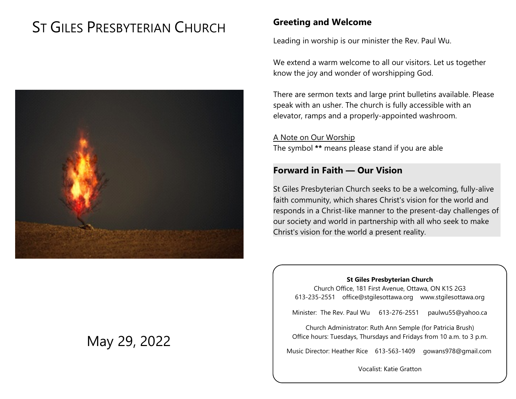# ST GILES PRESBYTERIAN CHURCH



# May 29, 2022

# **Greeting and Welcome**

Leading in worship is our minister the Rev. Paul Wu.

We extend a warm welcome to all our visitors. Let us together know the joy and wonder of worshipping God.

There are sermon texts and large print bulletins available. Please speak with an usher. The church is fully accessible with an elevator, ramps and a properly-appointed washroom.

A Note on Our Worship The symbol **\*\*** means please stand if you are able

# **Forward in Faith — Our Vision**

St Giles Presbyterian Church seeks to be a welcoming, fully-alive faith community, which shares Christ's vision for the world and responds in a Christ-like manner to the present-day challenges of our society and world in partnership with all who seek to make Christ's vision for the world a present reality.

#### **St Giles Presbyterian Church**

Church Office, 181 First Avenue, Ottawa, ON K1S 2G3 613-235-2551 office@stgilesottawa.org www.stgilesottawa.org

Minister: The Rev. Paul Wu 613-276-2551 paulwu55@yahoo.ca

Church Administrator: Ruth Ann Semple (for Patricia Brush) Office hours: Tuesdays, Thursdays and Fridays from 10 a.m. to 3 p.m.

Music Director: Heather Rice 613-563-1409 gowans978@gmail.com

Vocalist: Katie Gratton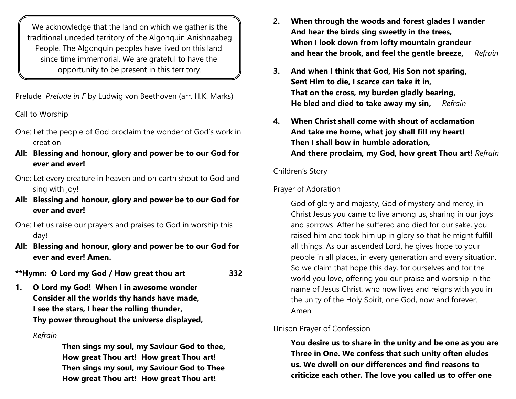We acknowledge that the land on which we gather is the traditional unceded territory of the Algonquin Anishnaabeg People. The Algonquin peoples have lived on this land since time immemorial. We are grateful to have the opportunity to be present in this territory.

Prelude *Prelude in F* by Ludwig von Beethoven (arr. H.K. Marks)

Call to Worship

- One: Let the people of God proclaim the wonder of God's work in creation
- **All: Blessing and honour, glory and power be to our God for ever and ever!**
- One: Let every creature in heaven and on earth shout to God and sing with joy!
- **All: Blessing and honour, glory and power be to our God for ever and ever!**
- One: Let us raise our prayers and praises to God in worship this day!
- **All: Blessing and honour, glory and power be to our God for ever and ever! Amen.**

**\*\*Hymn: O Lord my God / How great thou art 332**

**1. O Lord my God! When I in awesome wonder Consider all the worlds thy hands have made, I see the stars, I hear the rolling thunder, Thy power throughout the universe displayed,**

# *Refrain*

**Then sings my soul, my Saviour God to thee, How great Thou art! How great Thou art! Then sings my soul, my Saviour God to Thee How great Thou art! How great Thou art!**

- **2. When through the woods and forest glades I wander And hear the birds sing sweetly in the trees, When I look down from lofty mountain grandeur and hear the brook, and feel the gentle breeze,** *Refrain*
- **3. And when I think that God, His Son not sparing, Sent Him to die, I scarce can take it in, That on the cross, my burden gladly bearing, He bled and died to take away my sin,** *Refrain*
- **4. When Christ shall come with shout of acclamation And take me home, what joy shall fill my heart! Then I shall bow in humble adoration, And there proclaim, my God, how great Thou art!** *Refrain*

### Children's Story

# Prayer of Adoration

God of glory and majesty, God of mystery and mercy, in Christ Jesus you came to live among us, sharing in our joys and sorrows. After he suffered and died for our sake, you raised him and took him up in glory so that he might fulfill all things. As our ascended Lord, he gives hope to your people in all places, in every generation and every situation. So we claim that hope this day, for ourselves and for the world you love, offering you our praise and worship in the name of Jesus Christ, who now lives and reigns with you in the unity of the Holy Spirit, one God, now and forever. Amen.

### Unison Prayer of Confession

**You desire us to share in the unity and be one as you are Three in One. We confess that such unity often eludes us. We dwell on our differences and find reasons to criticize each other. The love you called us to offer one**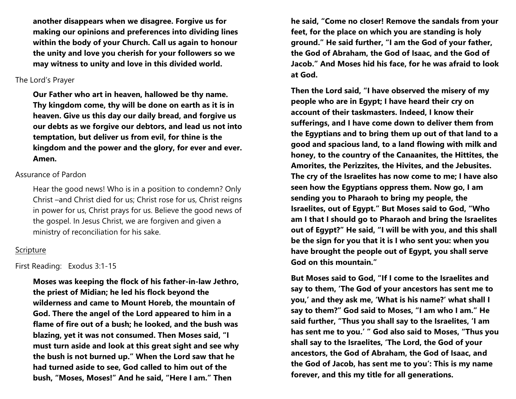**another disappears when we disagree. Forgive us for making our opinions and preferences into dividing lines within the body of your Church. Call us again to honour the unity and love you cherish for your followers so we may witness to unity and love in this divided world.** 

#### The Lord's Prayer

**Our Father who art in heaven, hallowed be thy name. Thy kingdom come, thy will be done on earth as it is in heaven. Give us this day our daily bread, and forgive us our debts as we forgive our debtors, and lead us not into temptation, but deliver us from evil, for thine is the kingdom and the power and the glory, for ever and ever. Amen.**

#### Assurance of Pardon

Hear the good news! Who is in a position to condemn? Only Christ –and Christ died for us; Christ rose for us, Christ reigns in power for us, Christ prays for us. Believe the good news of the gospel. In Jesus Christ, we are forgiven and given a ministry of reconciliation for his sake.

#### **Scripture**

#### First Reading: Exodus 3:1-15

**Moses was keeping the flock of his father-in-law Jethro, the priest of Midian; he led his flock beyond the wilderness and came to Mount Horeb, the mountain of God. There the angel of the Lord appeared to him in a flame of fire out of a bush; he looked, and the bush was blazing, yet it was not consumed. Then Moses said, "I must turn aside and look at this great sight and see why the bush is not burned up." When the Lord saw that he had turned aside to see, God called to him out of the bush, "Moses, Moses!" And he said, "Here I am." Then**

**he said, "Come no closer! Remove the sandals from your feet, for the place on which you are standing is holy ground." He said further, "I am the God of your father, the God of Abraham, the God of Isaac, and the God of Jacob." And Moses hid his face, for he was afraid to look at God.** 

**Then the Lord said, "I have observed the misery of my people who are in Egypt; I have heard their cry on account of their taskmasters. Indeed, I know their sufferings, and I have come down to deliver them from the Egyptians and to bring them up out of that land to a good and spacious land, to a land flowing with milk and honey, to the country of the Canaanites, the Hittites, the Amorites, the Perizzites, the Hivites, and the Jebusites. The cry of the Israelites has now come to me; I have also seen how the Egyptians oppress them. Now go, I am sending you to Pharaoh to bring my people, the Israelites, out of Egypt." But Moses said to God, "Who am I that I should go to Pharaoh and bring the Israelites out of Egypt?" He said, "I will be with you, and this shall be the sign for you that it is I who sent you: when you have brought the people out of Egypt, you shall serve God on this mountain."** 

**But Moses said to God, "If I come to the Israelites and say to them, 'The God of your ancestors has sent me to you,' and they ask me, 'What is his name?' what shall I say to them?" God said to Moses, "I am who I am." He said further, "Thus you shall say to the Israelites, 'I am has sent me to you.' " God also said to Moses, "Thus you shall say to the Israelites, 'The Lord, the God of your ancestors, the God of Abraham, the God of Isaac, and the God of Jacob, has sent me to you': This is my name forever, and this my title for all generations.**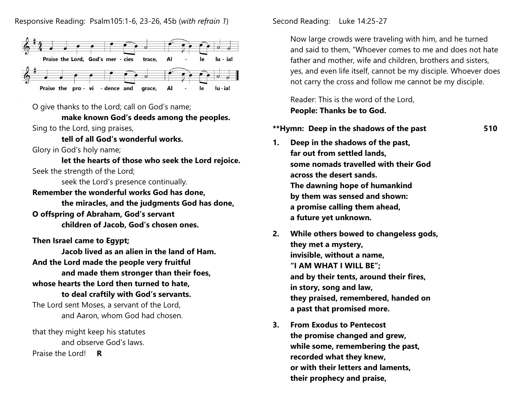

O give thanks to the Lord; call on God's name;

**make known God's deeds among the peoples.**  Sing to the Lord, sing praises,

**tell of all God's wonderful works.** 

Glory in God's holy name;

**let the hearts of those who seek the Lord rejoice.** Seek the strength of the Lord;

seek the Lord's presence continually.

**Remember the wonderful works God has done, the miracles, and the judgments God has done, O offspring of Abraham, God's servant** 

**children of Jacob, God's chosen ones.** 

**Then Israel came to Egypt;** 

**Jacob lived as an alien in the land of Ham. And the Lord made the people very fruitful and made them stronger than their foes,** 

### **whose hearts the Lord then turned to hate,**

### **to deal craftily with God's servants.**

The Lord sent Moses, a servant of the Lord, and Aaron, whom God had chosen.

that they might keep his statutes and observe God's laws. Praise the Lord! **R**

Second Reading: Luke 14:25-27

Now large crowds were traveling with him, and he turned and said to them, "Whoever comes to me and does not hate father and mother, wife and children, brothers and sisters, yes, and even life itself, cannot be my disciple. Whoever does not carry the cross and follow me cannot be my disciple.

Reader: This is the word of the Lord, **People: Thanks be to God.**

#### **\*\*Hymn: Deep in the shadows of the past 510**

- **1. Deep in the shadows of the past, far out from settled lands, some nomads travelled with their God across the desert sands. The dawning hope of humankind by them was sensed and shown: a promise calling them ahead, a future yet unknown.**
- **2. While others bowed to changeless gods, they met a mystery, invisible, without a name, "I AM WHAT I WILL BE"; and by their tents, around their fires, in story, song and law, they praised, remembered, handed on a past that promised more.**
- **3. From Exodus to Pentecost the promise changed and grew, while some, remembering the past, recorded what they knew, or with their letters and laments, their prophecy and praise,**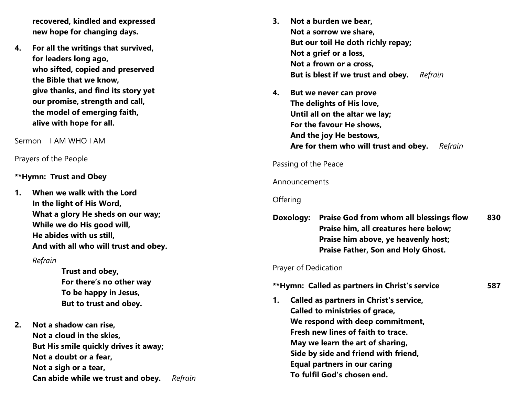**recovered, kindled and expressed new hope for changing days.**

**4. For all the writings that survived, for leaders long ago, who sifted, copied and preserved the Bible that we know, give thanks, and find its story yet our promise, strength and call, the model of emerging faith, alive with hope for all.**

Sermon I AM WHO I AM<br>Prayers of the People

#### **\*\*Hymn: Trust and Obey**

**1. When we walk with the Lord In the light of His Word, What a glory He sheds on our way; While we do His good will, He abides with us still, And with all who will trust and obey.**

#### *Refrain*

**Trust and obey, For there's no other way To be happy in Jesus, But to trust and obey.**

**2. Not a shadow can rise, Not a cloud in the skies, But His smile qu ickly drives it away; Not a doubt or a fear, Not a sigh or a tear, Can abide while we trust and obey.** *Refrain*

- **3 . N ot a burden we bear, N ot a sorrow we share, B ut our toil He doth richly repay; Not a grief or a loss, Not a frown or a cross, But is blest if we trust and obey.** *Refrain*
- **4 . B ut we never can prove The delights of His love, Until all on the altar we lay; For the favour He shows, And the joy He bestows, Are for them who will trust and obey.** *Refrain*

#### Passing of the Peace

#### Announcements

#### **Offering**

**Doxology: Praise God from whom all blessings flow 8 3 0 Praise him, all creatures here below; Praise him above, ye heavenly host; Praise Father, Son and Holy Ghost.**

**5 8 7**

#### Prayer of Dedication

# **\*\*Hymn: Called as partners in Christ's service**

**1 . Called as partn ers in Christ's service, Called to ministries of grace, We respond with deep commitment, Fresh new lines of faith to trace. May we learn the art of sharing, Side by side and friend with friend, Equal partners in our caring To fulfil God's chosen end.**